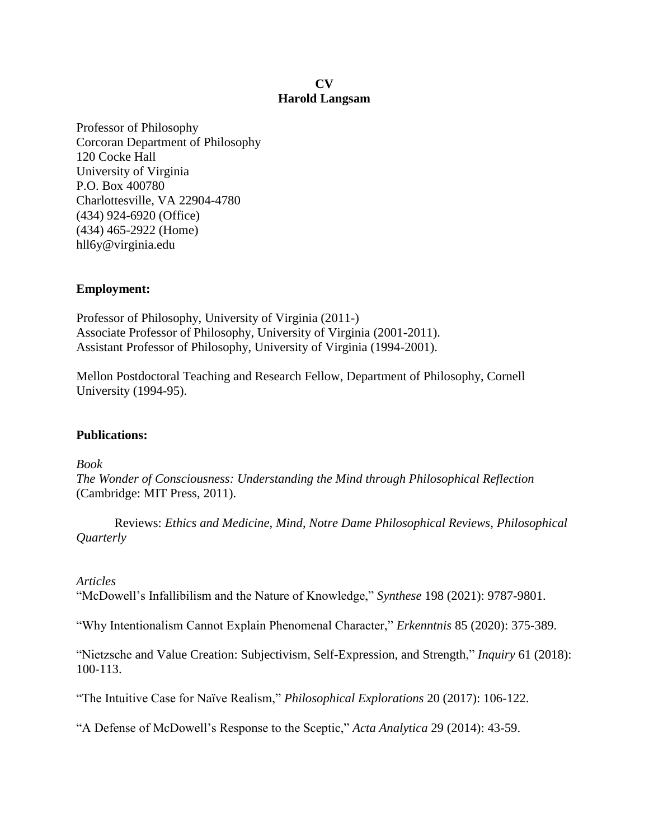### **CV Harold Langsam**

Professor of Philosophy Corcoran Department of Philosophy 120 Cocke Hall University of Virginia P.O. Box 400780 Charlottesville, VA 22904-4780 (434) 924-6920 (Office) (434) 465-2922 (Home) hll6y@virginia.edu

## **Employment:**

Professor of Philosophy, University of Virginia (2011-) Associate Professor of Philosophy, University of Virginia (2001-2011). Assistant Professor of Philosophy, University of Virginia (1994-2001).

Mellon Postdoctoral Teaching and Research Fellow, Department of Philosophy, Cornell University (1994-95).

## **Publications:**

*Book The Wonder of Consciousness: Understanding the Mind through Philosophical Reflection* (Cambridge: MIT Press, 2011).

Reviews: *Ethics and Medicine*, *Mind*, *Notre Dame Philosophical Reviews*, *Philosophical Quarterly*

## *Articles*

"McDowell's Infallibilism and the Nature of Knowledge," *Synthese* 198 (2021): 9787-9801.

"Why Intentionalism Cannot Explain Phenomenal Character," *Erkenntnis* 85 (2020): 375-389.

"Nietzsche and Value Creation: Subjectivism, Self-Expression, and Strength," *Inquiry* 61 (2018): 100-113.

"The Intuitive Case for Naïve Realism," *Philosophical Explorations* 20 (2017): 106-122.

"A Defense of McDowell's Response to the Sceptic," *Acta Analytica* 29 (2014): 43-59.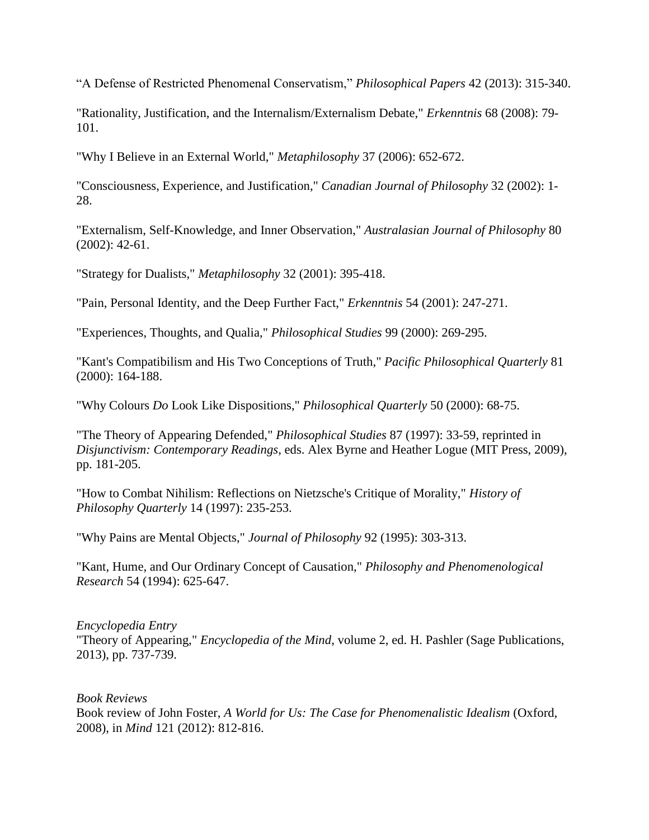"A Defense of Restricted Phenomenal Conservatism," *Philosophical Papers* 42 (2013): 315-340.

"Rationality, Justification, and the Internalism/Externalism Debate," *Erkenntnis* 68 (2008): 79- 101.

"Why I Believe in an External World," *Metaphilosophy* 37 (2006): 652-672.

"Consciousness, Experience, and Justification," *Canadian Journal of Philosophy* 32 (2002): 1- 28.

"Externalism, Self-Knowledge, and Inner Observation," *Australasian Journal of Philosophy* 80 (2002): 42-61.

"Strategy for Dualists," *Metaphilosophy* 32 (2001): 395-418.

"Pain, Personal Identity, and the Deep Further Fact," *Erkenntnis* 54 (2001): 247-271.

"Experiences, Thoughts, and Qualia," *Philosophical Studies* 99 (2000): 269-295.

"Kant's Compatibilism and His Two Conceptions of Truth," *Pacific Philosophical Quarterly* 81 (2000): 164-188.

"Why Colours *Do* Look Like Dispositions," *Philosophical Quarterly* 50 (2000): 68-75.

"The Theory of Appearing Defended," *Philosophical Studies* 87 (1997): 33-59, reprinted in *Disjunctivism: Contemporary Readings*, eds. Alex Byrne and Heather Logue (MIT Press, 2009), pp. 181-205.

"How to Combat Nihilism: Reflections on Nietzsche's Critique of Morality," *History of Philosophy Quarterly* 14 (1997): 235-253.

"Why Pains are Mental Objects," *Journal of Philosophy* 92 (1995): 303-313.

"Kant, Hume, and Our Ordinary Concept of Causation," *Philosophy and Phenomenological Research* 54 (1994): 625-647.

### *Encyclopedia Entry*

"Theory of Appearing," *Encyclopedia of the Mind*, volume 2, ed. H. Pashler (Sage Publications, 2013), pp. 737-739.

*Book Reviews*

Book review of John Foster, *A World for Us: The Case for Phenomenalistic Idealism* (Oxford, 2008), in *Mind* 121 (2012): 812-816.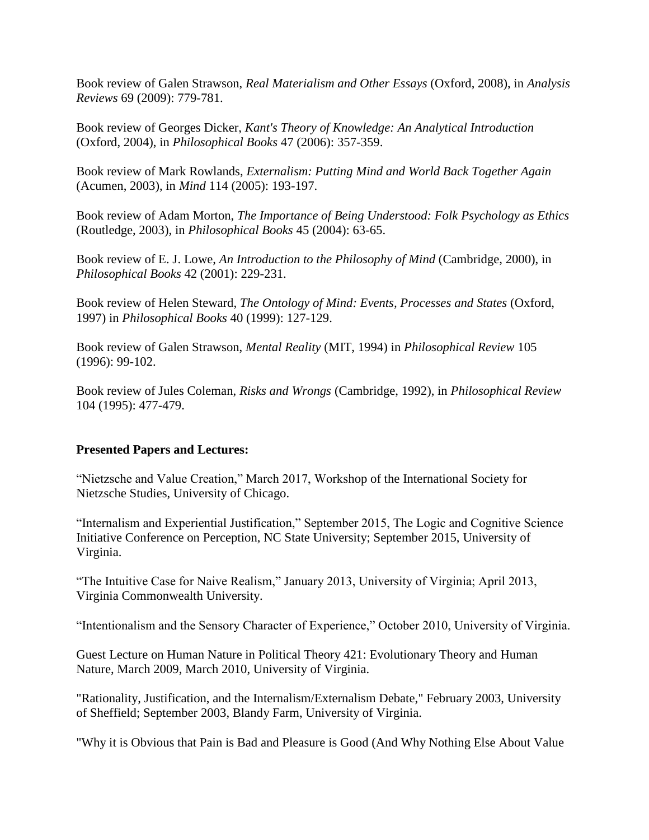Book review of Galen Strawson, *Real Materialism and Other Essays* (Oxford, 2008), in *Analysis Reviews* 69 (2009): 779-781.

Book review of Georges Dicker, *Kant's Theory of Knowledge: An Analytical Introduction* (Oxford, 2004), in *Philosophical Books* 47 (2006): 357-359.

Book review of Mark Rowlands, *Externalism: Putting Mind and World Back Together Again* (Acumen, 2003), in *Mind* 114 (2005): 193-197.

Book review of Adam Morton, *The Importance of Being Understood: Folk Psychology as Ethics* (Routledge, 2003), in *Philosophical Books* 45 (2004): 63-65.

Book review of E. J. Lowe, *An Introduction to the Philosophy of Mind* (Cambridge, 2000), in *Philosophical Books* 42 (2001): 229-231.

Book review of Helen Steward, *The Ontology of Mind: Events, Processes and States* (Oxford, 1997) in *Philosophical Books* 40 (1999): 127-129.

Book review of Galen Strawson, *Mental Reality* (MIT, 1994) in *Philosophical Review* 105 (1996): 99-102.

Book review of Jules Coleman, *Risks and Wrongs* (Cambridge, 1992), in *Philosophical Review* 104 (1995): 477-479.

## **Presented Papers and Lectures:**

"Nietzsche and Value Creation," March 2017, Workshop of the International Society for Nietzsche Studies, University of Chicago.

"Internalism and Experiential Justification," September 2015, The Logic and Cognitive Science Initiative Conference on Perception, NC State University; September 2015, University of Virginia.

"The Intuitive Case for Naive Realism," January 2013, University of Virginia; April 2013, Virginia Commonwealth University.

"Intentionalism and the Sensory Character of Experience," October 2010, University of Virginia.

Guest Lecture on Human Nature in Political Theory 421: Evolutionary Theory and Human Nature, March 2009, March 2010, University of Virginia.

"Rationality, Justification, and the Internalism/Externalism Debate," February 2003, University of Sheffield; September 2003, Blandy Farm, University of Virginia.

"Why it is Obvious that Pain is Bad and Pleasure is Good (And Why Nothing Else About Value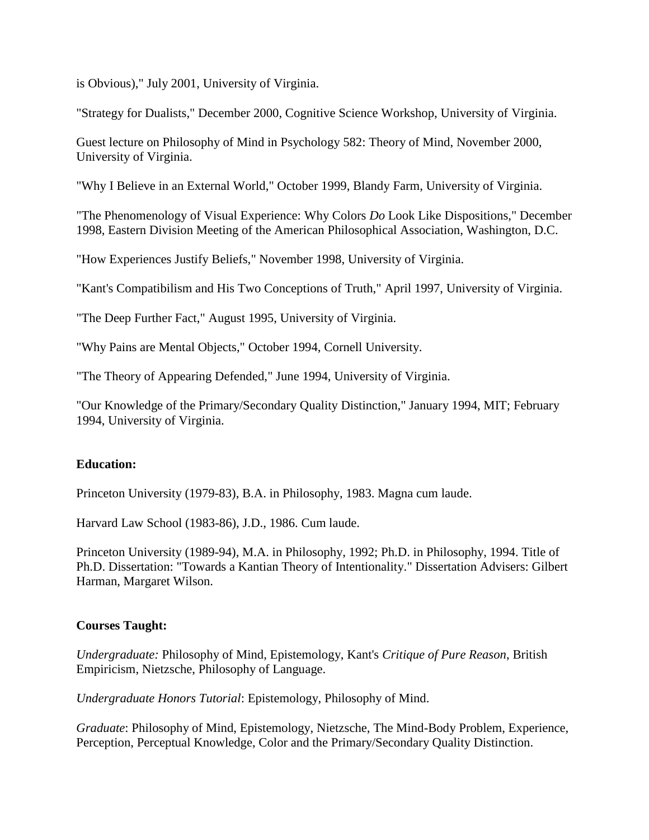is Obvious)," July 2001, University of Virginia.

"Strategy for Dualists," December 2000, Cognitive Science Workshop, University of Virginia.

Guest lecture on Philosophy of Mind in Psychology 582: Theory of Mind, November 2000, University of Virginia.

"Why I Believe in an External World," October 1999, Blandy Farm, University of Virginia.

"The Phenomenology of Visual Experience: Why Colors *Do* Look Like Dispositions," December 1998, Eastern Division Meeting of the American Philosophical Association, Washington, D.C.

"How Experiences Justify Beliefs," November 1998, University of Virginia.

"Kant's Compatibilism and His Two Conceptions of Truth," April 1997, University of Virginia.

"The Deep Further Fact," August 1995, University of Virginia.

"Why Pains are Mental Objects," October 1994, Cornell University.

"The Theory of Appearing Defended," June 1994, University of Virginia.

"Our Knowledge of the Primary/Secondary Quality Distinction," January 1994, MIT; February 1994, University of Virginia.

# **Education:**

Princeton University (1979-83), B.A. in Philosophy, 1983. Magna cum laude.

Harvard Law School (1983-86), J.D., 1986. Cum laude.

Princeton University (1989-94), M.A. in Philosophy, 1992; Ph.D. in Philosophy, 1994. Title of Ph.D. Dissertation: "Towards a Kantian Theory of Intentionality." Dissertation Advisers: Gilbert Harman, Margaret Wilson.

## **Courses Taught:**

*Undergraduate:* Philosophy of Mind, Epistemology, Kant's *Critique of Pure Reason*, British Empiricism, Nietzsche, Philosophy of Language.

*Undergraduate Honors Tutorial*: Epistemology, Philosophy of Mind.

*Graduate*: Philosophy of Mind, Epistemology, Nietzsche, The Mind-Body Problem, Experience, Perception, Perceptual Knowledge, Color and the Primary/Secondary Quality Distinction.